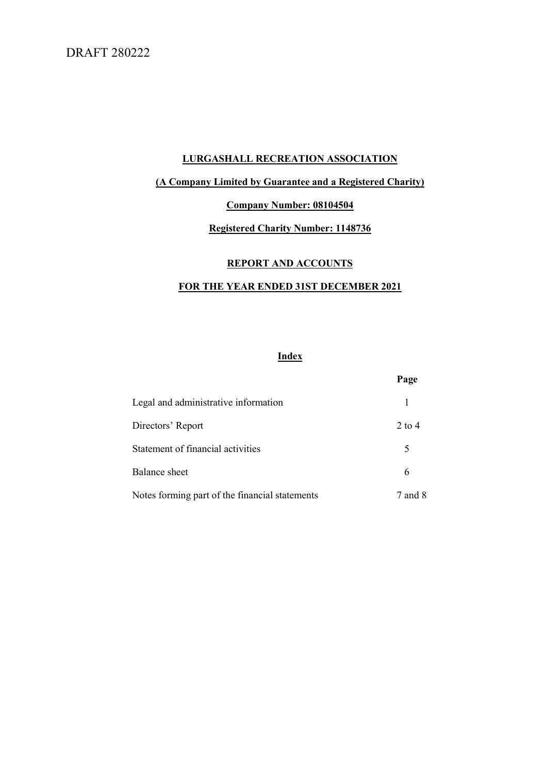# DRAFT 280222

# LURGASHALL RECREATION ASSOCIATION

# (A Company Limited by Guarantee and a Registered Charity)

# Company Number: 08104504

# Registered Charity Number: 1148736

### REPORT AND ACCOUNTS

# FOR THE YEAR ENDED 31ST DECEMBER 2021

# Index

|                                                | Page     |
|------------------------------------------------|----------|
| Legal and administrative information           |          |
| Directors' Report                              | $2$ to 4 |
| Statement of financial activities              | 5        |
| Balance sheet                                  | 6        |
| Notes forming part of the financial statements | 7 and 8  |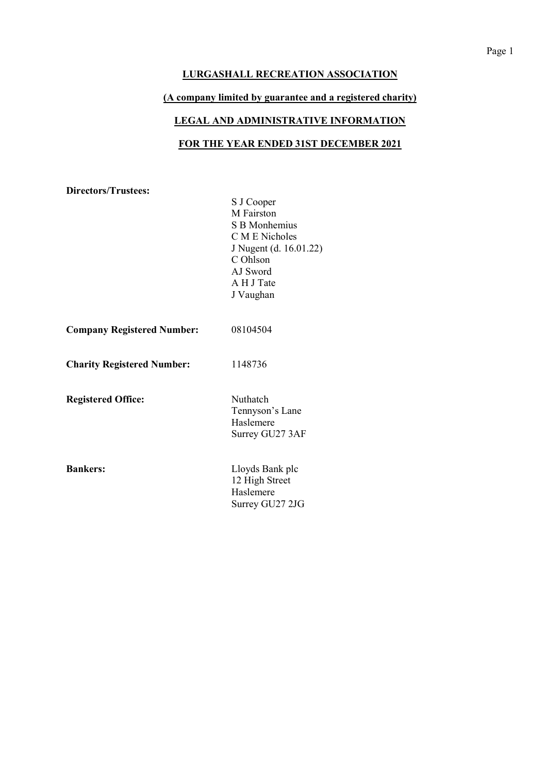### (A company limited by guarantee and a registered charity)

# LEGAL AND ADMINISTRATIVE INFORMATION

# FOR THE YEAR ENDED 31ST DECEMBER 2021

Directors/Trustees:

S J Cooper M Fairston S B Monhemius C M E Nicholes J Nugent (d. 16.01.22) C Ohlson AJ Sword A H J Tate J Vaughan

| 08104504<br><b>Company Registered Number:</b> |  |
|-----------------------------------------------|--|
|-----------------------------------------------|--|

Charity Registered Number: 1148736

Registered Office: Nuthatch

Tennyson's Lane Haslemere Surrey GU27 3AF

Bankers: Lloyds Bank plc 12 High Street Haslemere Surrey GU27 2JG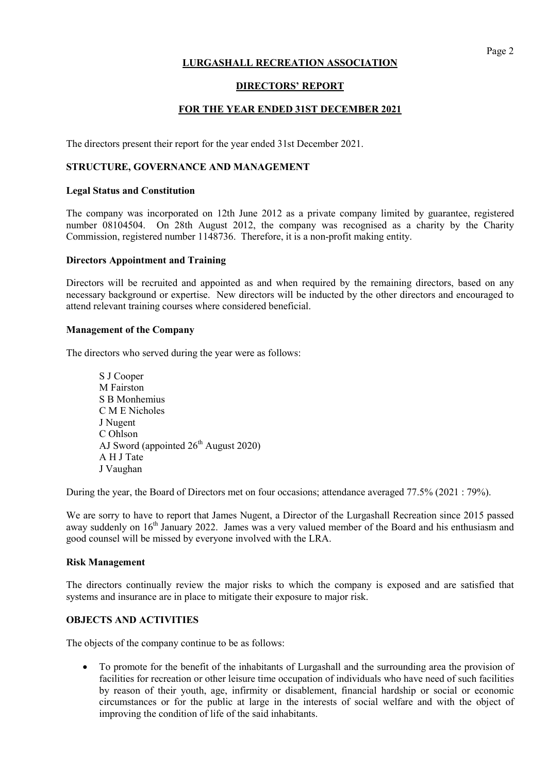# Page 2

### LURGASHALL RECREATION ASSOCIATION

# DIRECTORS' REPORT

# FOR THE YEAR ENDED 31ST DECEMBER 2021

The directors present their report for the year ended 31st December 2021.

### STRUCTURE, GOVERNANCE AND MANAGEMENT

### Legal Status and Constitution

The company was incorporated on 12th June 2012 as a private company limited by guarantee, registered number 08104504. On 28th August 2012, the company was recognised as a charity by the Charity Commission, registered number 1148736. Therefore, it is a non-profit making entity.

### Directors Appointment and Training

Directors will be recruited and appointed as and when required by the remaining directors, based on any necessary background or expertise. New directors will be inducted by the other directors and encouraged to attend relevant training courses where considered beneficial.

### Management of the Company

The directors who served during the year were as follows:

 S J Cooper M Fairston S B Monhemius C M E Nicholes J Nugent C Ohlson AJ Sword (appointed  $26<sup>th</sup>$  August 2020) A H J Tate J Vaughan

During the year, the Board of Directors met on four occasions; attendance averaged 77.5% (2021 : 79%).

We are sorry to have to report that James Nugent, a Director of the Lurgashall Recreation since 2015 passed away suddenly on 16<sup>th</sup> January 2022. James was a very valued member of the Board and his enthusiasm and good counsel will be missed by everyone involved with the LRA.

#### Risk Management

The directors continually review the major risks to which the company is exposed and are satisfied that systems and insurance are in place to mitigate their exposure to major risk.

### OBJECTS AND ACTIVITIES

The objects of the company continue to be as follows:

 To promote for the benefit of the inhabitants of Lurgashall and the surrounding area the provision of facilities for recreation or other leisure time occupation of individuals who have need of such facilities by reason of their youth, age, infirmity or disablement, financial hardship or social or economic circumstances or for the public at large in the interests of social welfare and with the object of improving the condition of life of the said inhabitants.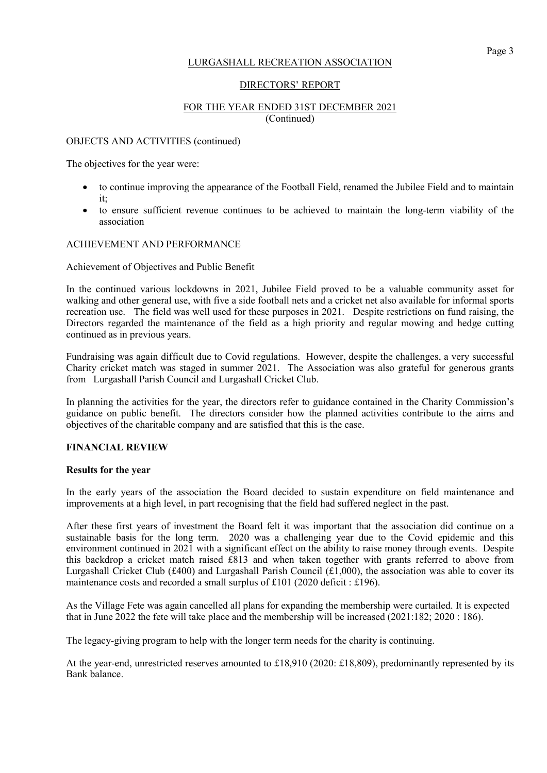### DIRECTORS' REPORT

# FOR THE YEAR ENDED 31ST DECEMBER 2021 (Continued)

### OBJECTS AND ACTIVITIES (continued)

The objectives for the year were:

- to continue improving the appearance of the Football Field, renamed the Jubilee Field and to maintain it;
- to ensure sufficient revenue continues to be achieved to maintain the long-term viability of the association

### ACHIEVEMENT AND PERFORMANCE

### Achievement of Objectives and Public Benefit

In the continued various lockdowns in 2021, Jubilee Field proved to be a valuable community asset for walking and other general use, with five a side football nets and a cricket net also available for informal sports recreation use. The field was well used for these purposes in 2021. Despite restrictions on fund raising, the Directors regarded the maintenance of the field as a high priority and regular mowing and hedge cutting continued as in previous years.

Fundraising was again difficult due to Covid regulations. However, despite the challenges, a very successful Charity cricket match was staged in summer 2021. The Association was also grateful for generous grants from Lurgashall Parish Council and Lurgashall Cricket Club.

In planning the activities for the year, the directors refer to guidance contained in the Charity Commission's guidance on public benefit. The directors consider how the planned activities contribute to the aims and objectives of the charitable company and are satisfied that this is the case.

### FINANCIAL REVIEW

### Results for the year

In the early years of the association the Board decided to sustain expenditure on field maintenance and improvements at a high level, in part recognising that the field had suffered neglect in the past.

After these first years of investment the Board felt it was important that the association did continue on a sustainable basis for the long term. 2020 was a challenging year due to the Covid epidemic and this environment continued in 2021 with a significant effect on the ability to raise money through events. Despite this backdrop a cricket match raised £813 and when taken together with grants referred to above from Lurgashall Cricket Club (£400) and Lurgashall Parish Council (£1,000), the association was able to cover its maintenance costs and recorded a small surplus of £101 (2020 deficit : £196).

As the Village Fete was again cancelled all plans for expanding the membership were curtailed. It is expected that in June 2022 the fete will take place and the membership will be increased (2021:182; 2020 : 186).

The legacy-giving program to help with the longer term needs for the charity is continuing.

At the year-end, unrestricted reserves amounted to £18,910 (2020: £18,809), predominantly represented by its Bank balance.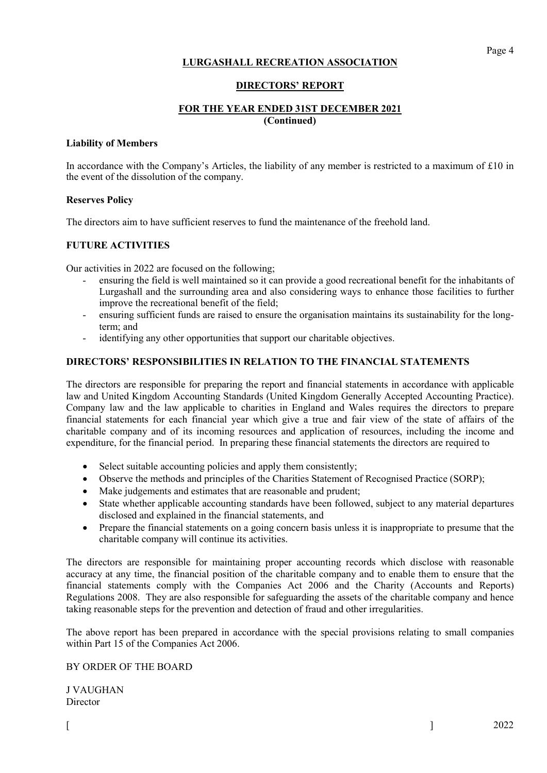### DIRECTORS' REPORT

# FOR THE YEAR ENDED 31ST DECEMBER 2021 (Continued)

### Liability of Members

In accordance with the Company's Articles, the liability of any member is restricted to a maximum of £10 in the event of the dissolution of the company.

### Reserves Policy

The directors aim to have sufficient reserves to fund the maintenance of the freehold land.

# FUTURE ACTIVITIES

Our activities in 2022 are focused on the following;

- ensuring the field is well maintained so it can provide a good recreational benefit for the inhabitants of Lurgashall and the surrounding area and also considering ways to enhance those facilities to further improve the recreational benefit of the field;
- ensuring sufficient funds are raised to ensure the organisation maintains its sustainability for the longterm; and
- identifying any other opportunities that support our charitable objectives.

### DIRECTORS' RESPONSIBILITIES IN RELATION TO THE FINANCIAL STATEMENTS

The directors are responsible for preparing the report and financial statements in accordance with applicable law and United Kingdom Accounting Standards (United Kingdom Generally Accepted Accounting Practice). Company law and the law applicable to charities in England and Wales requires the directors to prepare financial statements for each financial year which give a true and fair view of the state of affairs of the charitable company and of its incoming resources and application of resources, including the income and expenditure, for the financial period. In preparing these financial statements the directors are required to

- Select suitable accounting policies and apply them consistently;
- Observe the methods and principles of the Charities Statement of Recognised Practice (SORP);
- Make judgements and estimates that are reasonable and prudent;
- State whether applicable accounting standards have been followed, subject to any material departures disclosed and explained in the financial statements, and
- Prepare the financial statements on a going concern basis unless it is inappropriate to presume that the charitable company will continue its activities.

The directors are responsible for maintaining proper accounting records which disclose with reasonable accuracy at any time, the financial position of the charitable company and to enable them to ensure that the financial statements comply with the Companies Act 2006 and the Charity (Accounts and Reports) Regulations 2008. They are also responsible for safeguarding the assets of the charitable company and hence taking reasonable steps for the prevention and detection of fraud and other irregularities.

The above report has been prepared in accordance with the special provisions relating to small companies within Part 15 of the Companies Act 2006.

### BY ORDER OF THE BOARD

J VAUGHAN **Director**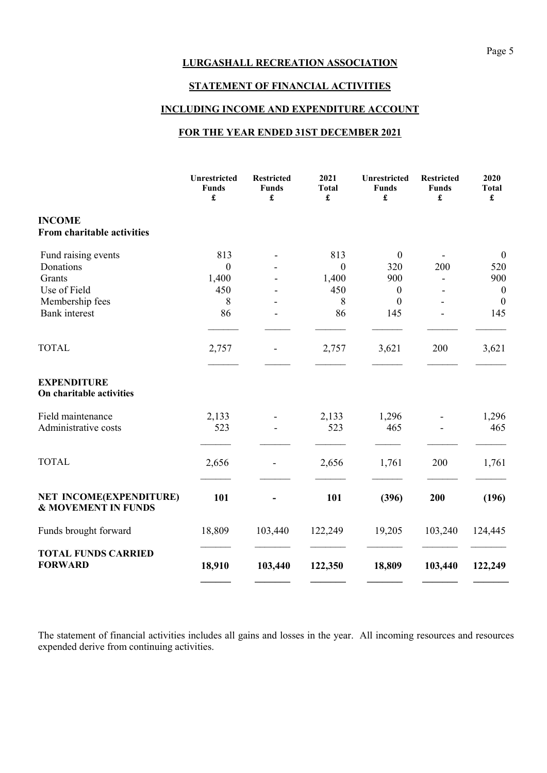# STATEMENT OF FINANCIAL ACTIVITIES

# INCLUDING INCOME AND EXPENDITURE ACCOUNT

# FOR THE YEAR ENDED 31ST DECEMBER 2021

|                                                           | Unrestricted<br><b>Funds</b><br>£ | <b>Restricted</b><br><b>Funds</b><br>£ | 2021<br><b>Total</b><br>£ | Unrestricted<br><b>Funds</b><br>£ | <b>Restricted</b><br><b>Funds</b><br>£ | 2020<br><b>Total</b><br>£ |
|-----------------------------------------------------------|-----------------------------------|----------------------------------------|---------------------------|-----------------------------------|----------------------------------------|---------------------------|
| <b>INCOME</b><br>From charitable activities               |                                   |                                        |                           |                                   |                                        |                           |
| Fund raising events                                       | 813                               |                                        | 813                       | $\mathbf{0}$                      |                                        | $\boldsymbol{0}$          |
| Donations                                                 | $\overline{0}$                    |                                        | $\boldsymbol{0}$          | 320                               | 200                                    | 520                       |
| Grants                                                    | 1,400                             |                                        | 1,400                     | 900                               |                                        | 900                       |
| Use of Field                                              | 450                               |                                        | 450                       | $\boldsymbol{0}$                  |                                        | $\boldsymbol{0}$          |
| Membership fees                                           | 8                                 |                                        | 8                         | $\mathbf{0}$                      |                                        | $\boldsymbol{0}$          |
| <b>Bank</b> interest                                      | 86                                |                                        | 86                        | 145                               |                                        | 145                       |
| <b>TOTAL</b>                                              | 2,757                             |                                        | 2,757                     | 3,621                             | 200                                    | 3,621                     |
| <b>EXPENDITURE</b><br>On charitable activities            |                                   |                                        |                           |                                   |                                        |                           |
| Field maintenance                                         | 2,133                             |                                        | 2,133                     | 1,296                             |                                        | 1,296                     |
| Administrative costs                                      | 523                               |                                        | 523                       | 465                               |                                        | 465                       |
| <b>TOTAL</b>                                              | 2,656                             |                                        | 2,656                     | 1,761                             | 200                                    | 1,761                     |
| NET INCOME(EXPENDITURE)<br><b>&amp; MOVEMENT IN FUNDS</b> | 101                               |                                        | 101                       | (396)                             | 200                                    | (196)                     |
| Funds brought forward                                     | 18,809                            | 103,440                                | 122,249                   | 19,205                            | 103,240                                | 124,445                   |
| <b>TOTAL FUNDS CARRIED</b><br><b>FORWARD</b>              | 18,910                            | 103,440                                | 122,350                   | 18,809                            | 103,440                                | 122,249                   |

The statement of financial activities includes all gains and losses in the year. All incoming resources and resources expended derive from continuing activities.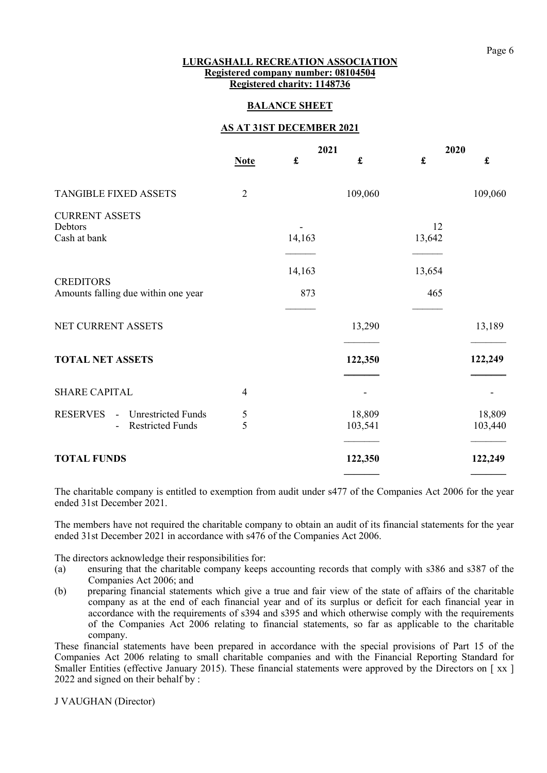### LURGASHALL RECREATION ASSOCIATION Registered company number: 08104504 Registered charity: 1148736

### BALANCE SHEET

### AS AT 31ST DECEMBER 2021

|                                                                                   |                |             | 2021              |              | 2020              |  |
|-----------------------------------------------------------------------------------|----------------|-------------|-------------------|--------------|-------------------|--|
|                                                                                   | <b>Note</b>    | $\mathbf f$ | $\mathbf f$       | $\mathbf f$  | $\mathbf f$       |  |
| TANGIBLE FIXED ASSETS                                                             | $\overline{2}$ |             | 109,060           |              | 109,060           |  |
| <b>CURRENT ASSETS</b><br>Debtors<br>Cash at bank                                  |                | 14,163      |                   | 12<br>13,642 |                   |  |
| <b>CREDITORS</b>                                                                  |                | 14,163      |                   | 13,654       |                   |  |
| Amounts falling due within one year                                               |                | 873         |                   | 465          |                   |  |
| NET CURRENT ASSETS                                                                |                |             | 13,290            |              | 13,189            |  |
| <b>TOTAL NET ASSETS</b>                                                           |                |             | 122,350           |              | 122,249           |  |
| <b>SHARE CAPITAL</b>                                                              | $\overline{4}$ |             |                   |              |                   |  |
| <b>RESERVES</b><br><b>Unrestricted Funds</b><br>$\sim$<br><b>Restricted Funds</b> | 5<br>5         |             | 18,809<br>103,541 |              | 18,809<br>103,440 |  |
| <b>TOTAL FUNDS</b>                                                                |                |             | 122,350           |              | 122,249           |  |

The charitable company is entitled to exemption from audit under s477 of the Companies Act 2006 for the year ended 31st December 2021.

The members have not required the charitable company to obtain an audit of its financial statements for the year ended 31st December 2021 in accordance with s476 of the Companies Act 2006.

The directors acknowledge their responsibilities for:

- (a) ensuring that the charitable company keeps accounting records that comply with s386 and s387 of the Companies Act 2006; and
- (b) preparing financial statements which give a true and fair view of the state of affairs of the charitable company as at the end of each financial year and of its surplus or deficit for each financial year in accordance with the requirements of s394 and s395 and which otherwise comply with the requirements of the Companies Act 2006 relating to financial statements, so far as applicable to the charitable company.

These financial statements have been prepared in accordance with the special provisions of Part 15 of the Companies Act 2006 relating to small charitable companies and with the Financial Reporting Standard for Smaller Entities (effective January 2015). These financial statements were approved by the Directors on [xx] 2022 and signed on their behalf by :

J VAUGHAN (Director)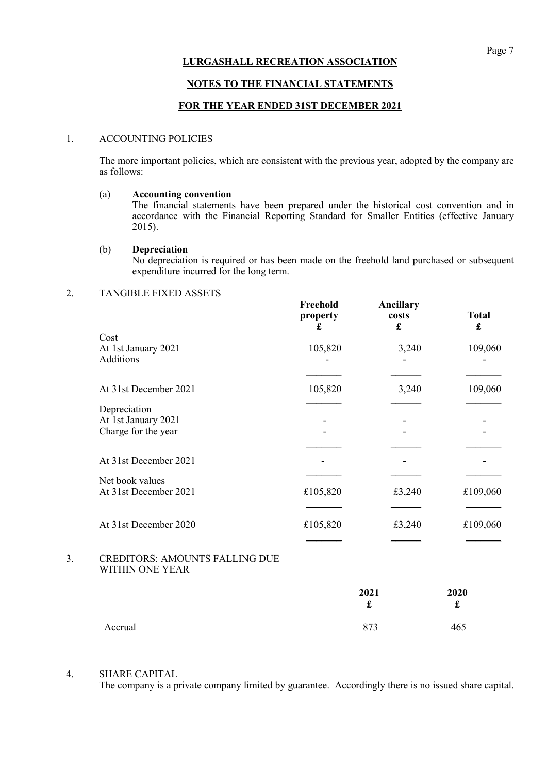### NOTES TO THE FINANCIAL STATEMENTS

### FOR THE YEAR ENDED 31ST DECEMBER 2021

### 1. ACCOUNTING POLICIES

 The more important policies, which are consistent with the previous year, adopted by the company are as follows:

### (a) Accounting convention

The financial statements have been prepared under the historical cost convention and in accordance with the Financial Reporting Standard for Smaller Entities (effective January 2015).

### (b) Depreciation

No depreciation is required or has been made on the freehold land purchased or subsequent expenditure incurred for the long term.

# 2. TANGIBLE FIXED ASSETS

|    |                                                          | Freehold<br>property<br>£ | Ancillary<br>costs<br>£ | <b>Total</b><br>$\mathbf f$ |
|----|----------------------------------------------------------|---------------------------|-------------------------|-----------------------------|
|    | Cost                                                     |                           |                         |                             |
|    | At 1st January 2021<br>Additions                         | 105,820                   | 3,240                   | 109,060                     |
|    | At 31st December 2021                                    | 105,820                   | 3,240                   | 109,060                     |
|    | Depreciation                                             |                           |                         |                             |
|    | At 1st January 2021<br>Charge for the year               |                           |                         |                             |
|    |                                                          |                           |                         |                             |
|    | At 31st December 2021                                    |                           |                         |                             |
|    | Net book values<br>At 31st December 2021                 | £105,820                  | £3,240                  | £109,060                    |
|    | At 31st December 2020                                    | £105,820                  | £3,240                  | £109,060                    |
| 3. | <b>CREDITORS: AMOUNTS FALLING DUE</b><br>WITHIN ONE YEAR |                           |                         |                             |
|    |                                                          |                           | 2021<br>£               | 2020<br>£                   |
|    | Accrual                                                  |                           | 873                     | 465                         |

#### 4. SHARE CAPITAL

The company is a private company limited by guarantee. Accordingly there is no issued share capital.